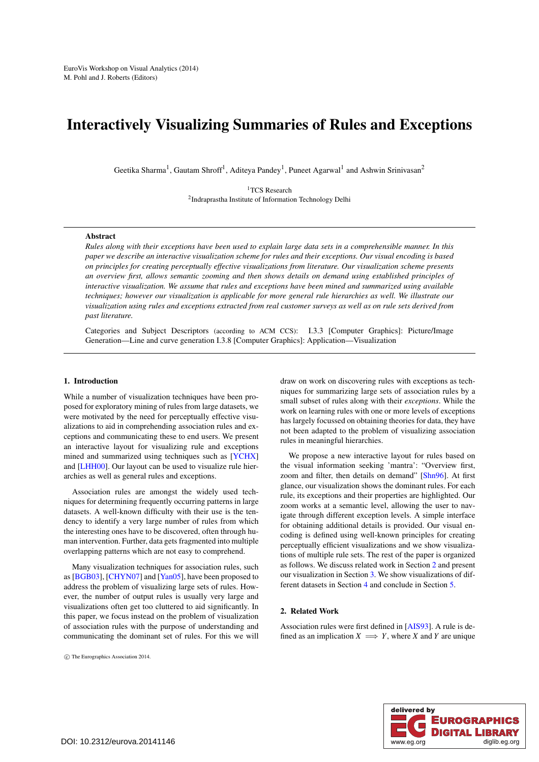# <span id="page-0-1"></span>Interactively Visualizing Summaries of Rules and Exceptions

Geetika Sharma<sup>1</sup>, Gautam Shroff<sup>1</sup>, Aditeya Pandey<sup>1</sup>, Puneet Agarwal<sup>1</sup> and Ashwin Srinivasan<sup>2</sup>

<sup>1</sup>TCS Research 2Indraprastha Institute of Information Technology Delhi

# Abstract

*Rules along with their exceptions have been used to explain large data sets in a comprehensible manner. In this paper we describe an interactive visualization scheme for rules and their exceptions. Our visual encoding is based on principles for creating perceptually effective visualizations from literature. Our visualization scheme presents an overview first, allows semantic zooming and then shows details on demand using established principles of interactive visualization. We assume that rules and exceptions have been mined and summarized using available techniques; however our visualization is applicable for more general rule hierarchies as well. We illustrate our visualization using rules and exceptions extracted from real customer surveys as well as on rule sets derived from past literature.*

Categories and Subject Descriptors (according to ACM CCS): I.3.3 [Computer Graphics]: Picture/Image Generation—Line and curve generation I.3.8 [Computer Graphics]: Application—Visualization

### 1. Introduction

While a number of visualization techniques have been proposed for exploratory mining of rules from large datasets, we were motivated by the need for perceptually effective visualizations to aid in comprehending association rules and exceptions and communicating these to end users. We present an interactive layout for visualizing rule and exceptions mined and summarized using techniques such as [\[YCHX\]](#page-4-0) and [\[LHH00\]](#page-4-1). Our layout can be used to visualize rule hierarchies as well as general rules and exceptions.

Association rules are amongst the widely used techniques for determining frequently occurring patterns in large datasets. A well-known difficulty with their use is the tendency to identify a very large number of rules from which the interesting ones have to be discovered, often through human intervention. Further, data gets fragmented into multiple overlapping patterns which are not easy to comprehend.

Many visualization techniques for association rules, such as [\[BGB03\]](#page-4-2), [\[CHYN07\]](#page-4-3) and [\[Yan05\]](#page-4-4), have been proposed to address the problem of visualizing large sets of rules. However, the number of output rules is usually very large and visualizations often get too cluttered to aid significantly. In this paper, we focus instead on the problem of visualization of association rules with the purpose of understanding and communicating the dominant set of rules. For this we will

c The Eurographics Association 2014.

draw on work on discovering rules with exceptions as techniques for summarizing large sets of association rules by a small subset of rules along with their *exceptions*. While the work on learning rules with one or more levels of exceptions has largely focussed on obtaining theories for data, they have not been adapted to the problem of visualizing association rules in meaningful hierarchies.

We propose a new interactive layout for rules based on the visual information seeking 'mantra': "Overview first, zoom and filter, then details on demand" [\[Shn96\]](#page-4-5). At first glance, our visualization shows the dominant rules. For each rule, its exceptions and their properties are highlighted. Our zoom works at a semantic level, allowing the user to navigate through different exception levels. A simple interface for obtaining additional details is provided. Our visual encoding is defined using well-known principles for creating perceptually efficient visualizations and we show visualizations of multiple rule sets. The rest of the paper is organized as follows. We discuss related work in Section [2](#page-0-0) and present our visualization in Section [3.](#page-1-0) We show visualizations of different datasets in Section [4](#page-3-0) and conclude in Section [5.](#page-3-1)

# <span id="page-0-0"></span>2. Related Work

Association rules were first defined in [\[AIS93\]](#page-4-6). A rule is defined as an implication  $X \implies Y$ , where *X* and *Y* are unique

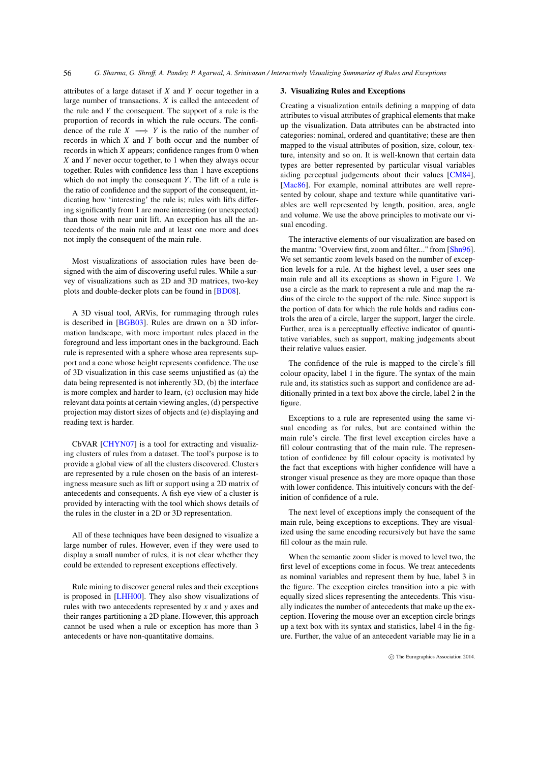<span id="page-1-1"></span>attributes of a large dataset if *X* and *Y* occur together in a large number of transactions. *X* is called the antecedent of the rule and *Y* the consequent. The support of a rule is the proportion of records in which the rule occurs. The confidence of the rule  $X \implies Y$  is the ratio of the number of records in which *X* and *Y* both occur and the number of records in which *X* appears; confidence ranges from 0 when *X* and *Y* never occur together, to 1 when they always occur together. Rules with confidence less than 1 have exceptions which do not imply the consequent *Y*. The lift of a rule is the ratio of confidence and the support of the consequent, indicating how 'interesting' the rule is; rules with lifts differing significantly from 1 are more interesting (or unexpected) than those with near unit lift. An exception has all the antecedents of the main rule and at least one more and does not imply the consequent of the main rule.

Most visualizations of association rules have been designed with the aim of discovering useful rules. While a survey of visualizations such as 2D and 3D matrices, two-key plots and double-decker plots can be found in [\[BD08\]](#page-4-7).

A 3D visual tool, ARVis, for rummaging through rules is described in [\[BGB03\]](#page-4-2). Rules are drawn on a 3D information landscape, with more important rules placed in the foreground and less important ones in the background. Each rule is represented with a sphere whose area represents support and a cone whose height represents confidence. The use of 3D visualization in this case seems unjustified as (a) the data being represented is not inherently 3D, (b) the interface is more complex and harder to learn, (c) occlusion may hide relevant data points at certain viewing angles, (d) perspective projection may distort sizes of objects and (e) displaying and reading text is harder.

CbVAR [\[CHYN07\]](#page-4-3) is a tool for extracting and visualizing clusters of rules from a dataset. The tool's purpose is to provide a global view of all the clusters discovered. Clusters are represented by a rule chosen on the basis of an interestingness measure such as lift or support using a 2D matrix of antecedents and consequents. A fish eye view of a cluster is provided by interacting with the tool which shows details of the rules in the cluster in a 2D or 3D representation.

All of these techniques have been designed to visualize a large number of rules. However, even if they were used to display a small number of rules, it is not clear whether they could be extended to represent exceptions effectively.

Rule mining to discover general rules and their exceptions is proposed in [\[LHH00\]](#page-4-1). They also show visualizations of rules with two antecedents represented by *x* and *y* axes and their ranges partitioning a 2D plane. However, this approach cannot be used when a rule or exception has more than 3 antecedents or have non-quantitative domains.

#### <span id="page-1-0"></span>3. Visualizing Rules and Exceptions

Creating a visualization entails defining a mapping of data attributes to visual attributes of graphical elements that make up the visualization. Data attributes can be abstracted into categories: nominal, ordered and quantitative; these are then mapped to the visual attributes of position, size, colour, texture, intensity and so on. It is well-known that certain data types are better represented by particular visual variables aiding perceptual judgements about their values [\[CM84\]](#page-4-8), [\[Mac86\]](#page-4-9). For example, nominal attributes are well represented by colour, shape and texture while quantitative variables are well represented by length, position, area, angle and volume. We use the above principles to motivate our visual encoding.

The interactive elements of our visualization are based on the mantra: "Overview first, zoom and filter..." from [\[Shn96\]](#page-4-5). We set semantic zoom levels based on the number of exception levels for a rule. At the highest level, a user sees one main rule and all its exceptions as shown in Figure [1.](#page-2-0) We use a circle as the mark to represent a rule and map the radius of the circle to the support of the rule. Since support is the portion of data for which the rule holds and radius controls the area of a circle, larger the support, larger the circle. Further, area is a perceptually effective indicator of quantitative variables, such as support, making judgements about their relative values easier.

The confidence of the rule is mapped to the circle's fill colour opacity, label 1 in the figure. The syntax of the main rule and, its statistics such as support and confidence are additionally printed in a text box above the circle, label 2 in the figure.

Exceptions to a rule are represented using the same visual encoding as for rules, but are contained within the main rule's circle. The first level exception circles have a fill colour contrasting that of the main rule. The representation of confidence by fill colour opacity is motivated by the fact that exceptions with higher confidence will have a stronger visual presence as they are more opaque than those with lower confidence. This intuitively concurs with the definition of confidence of a rule.

The next level of exceptions imply the consequent of the main rule, being exceptions to exceptions. They are visualized using the same encoding recursively but have the same fill colour as the main rule.

When the semantic zoom slider is moved to level two, the first level of exceptions come in focus. We treat antecedents as nominal variables and represent them by hue, label 3 in the figure. The exception circles transition into a pie with equally sized slices representing the antecedents. This visually indicates the number of antecedents that make up the exception. Hovering the mouse over an exception circle brings up a text box with its syntax and statistics, label 4 in the figure. Further, the value of an antecedent variable may lie in a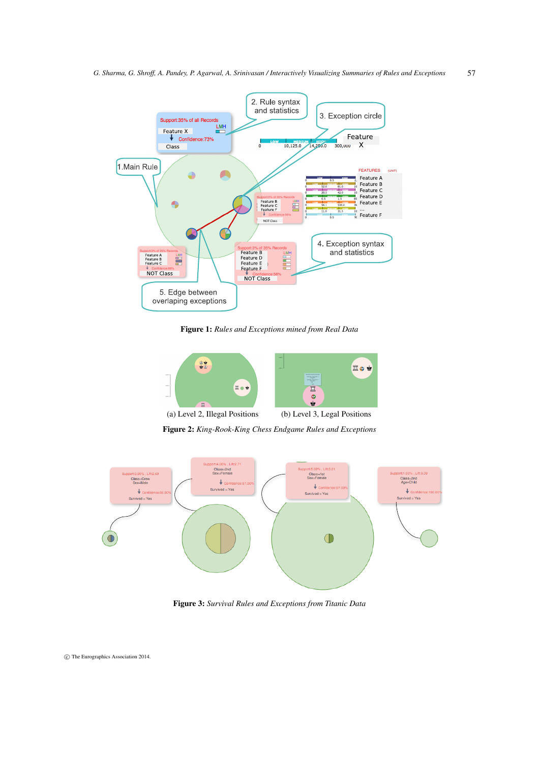

<span id="page-2-0"></span>Figure 1: *Rules and Exceptions mined from Real Data*



<span id="page-2-1"></span>Figure 2: *King-Rook-King Chess Endgame Rules and Exceptions*



<span id="page-2-2"></span>Figure 3: *Survival Rules and Exceptions from Titanic Data*

c The Eurographics Association 2014.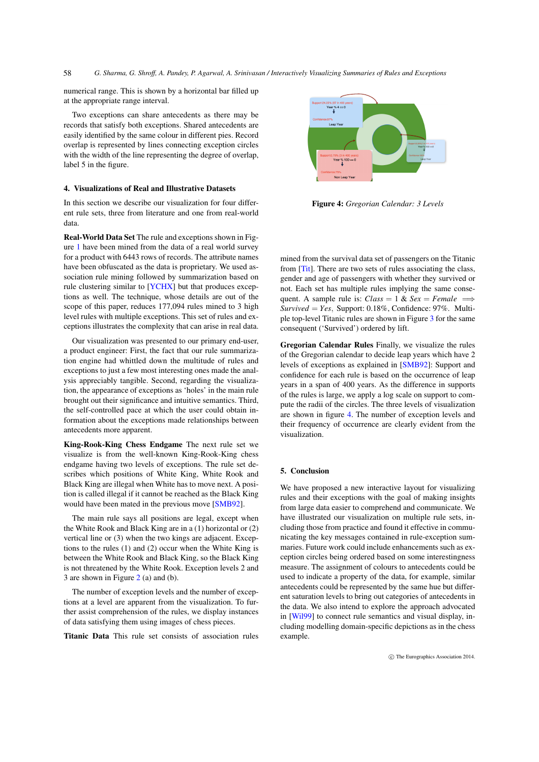<span id="page-3-3"></span>*G. Sharma, G. Shroff, A. Pandey, P. Agarwal, A. Srinivasan / Interactively Visualizing Summaries of Rules and Exceptions* 58

numerical range. This is shown by a horizontal bar filled up at the appropriate range interval.

Two exceptions can share antecedents as there may be records that satisfy both exceptions. Shared antecedents are easily identified by the same colour in different pies. Record overlap is represented by lines connecting exception circles with the width of the line representing the degree of overlap, label 5 in the figure.

# <span id="page-3-0"></span>4. Visualizations of Real and Illustrative Datasets

In this section we describe our visualization for four different rule sets, three from literature and one from real-world data.

Real-World Data Set The rule and exceptions shown in Figure [1](#page-2-0) have been mined from the data of a real world survey for a product with 6443 rows of records. The attribute names have been obfuscated as the data is proprietary. We used association rule mining followed by summarization based on rule clustering similar to [\[YCHX\]](#page-4-0) but that produces exceptions as well. The technique, whose details are out of the scope of this paper, reduces 177,094 rules mined to 3 high level rules with multiple exceptions. This set of rules and exceptions illustrates the complexity that can arise in real data.

Our visualization was presented to our primary end-user, a product engineer: First, the fact that our rule summarization engine had whittled down the multitude of rules and exceptions to just a few most interesting ones made the analysis appreciably tangible. Second, regarding the visualization, the appearance of exceptions as 'holes' in the main rule brought out their significance and intuitive semantics. Third, the self-controlled pace at which the user could obtain information about the exceptions made relationships between antecedents more apparent.

King-Rook-King Chess Endgame The next rule set we visualize is from the well-known King-Rook-King chess endgame having two levels of exceptions. The rule set describes which positions of White King, White Rook and Black King are illegal when White has to move next. A position is called illegal if it cannot be reached as the Black King would have been mated in the previous move [\[SMB92\]](#page-4-10).

The main rule says all positions are legal, except when the White Rook and Black King are in a (1) horizontal or (2) vertical line or (3) when the two kings are adjacent. Exceptions to the rules (1) and (2) occur when the White King is between the White Rook and Black King, so the Black King is not threatened by the White Rook. Exception levels 2 and 3 are shown in Figure [2](#page-2-1) (a) and (b).

The number of exception levels and the number of exceptions at a level are apparent from the visualization. To further assist comprehension of the rules, we display instances of data satisfying them using images of chess pieces.

Titanic Data This rule set consists of association rules



<span id="page-3-2"></span>Figure 4: *Gregorian Calendar: 3 Levels*

mined from the survival data set of passengers on the Titanic from [\[Tit\]](#page-4-11). There are two sets of rules associating the class, gender and age of passengers with whether they survived or not. Each set has multiple rules implying the same consequent. A sample rule is: *Class* = 1 & *Sex* = *Female*  $\implies$ *Survived* = *Yes*, Support: 0.18%, Confidence: 97%. Multiple top-level Titanic rules are shown in Figure [3](#page-2-2) for the same consequent ('Survived') ordered by lift.

Gregorian Calendar Rules Finally, we visualize the rules of the Gregorian calendar to decide leap years which have 2 levels of exceptions as explained in [\[SMB92\]](#page-4-10): Support and confidence for each rule is based on the occurrence of leap years in a span of 400 years. As the difference in supports of the rules is large, we apply a log scale on support to compute the radii of the circles. The three levels of visualization are shown in figure [4.](#page-3-2) The number of exception levels and their frequency of occurrence are clearly evident from the visualization.

## <span id="page-3-1"></span>5. Conclusion

We have proposed a new interactive layout for visualizing rules and their exceptions with the goal of making insights from large data easier to comprehend and communicate. We have illustrated our visualization on multiple rule sets, including those from practice and found it effective in communicating the key messages contained in rule-exception summaries. Future work could include enhancements such as exception circles being ordered based on some interestingness measure. The assignment of colours to antecedents could be used to indicate a property of the data, for example, similar antecedents could be represented by the same hue but different saturation levels to bring out categories of antecedents in the data. We also intend to explore the approach advocated in [\[Wil99\]](#page-4-12) to connect rule semantics and visual display, including modelling domain-specific depictions as in the chess example.